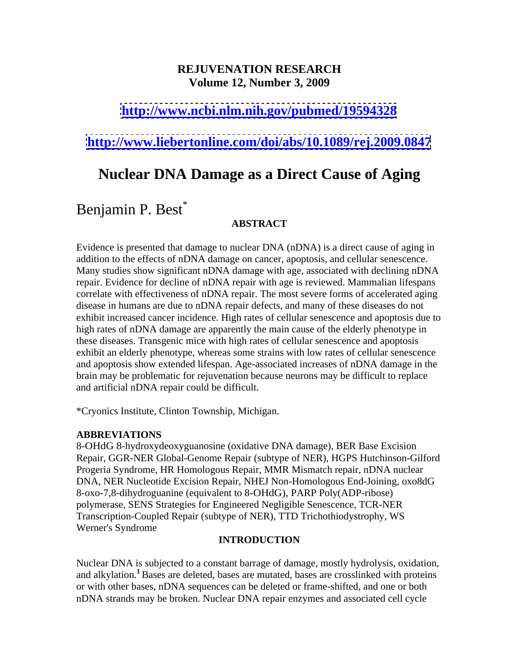# **REJUVENATION RESEARCH Volume 12, Number 3, 2009**

# **<http://www.ncbi.nlm.nih.gov/pubmed/19594328>**

# **<http://www.liebertonline.com/doi/abs/10.1089/rej.2009.0847>**

# **Nuclear DNA Damage as a Direct Cause of Aging**

# Benjamin P. Best<sup>\*</sup>

## **ABSTRACT**

Evidence is presented that damage to nuclear DNA (nDNA) is a direct cause of aging in addition to the effects of nDNA damage on cancer, apoptosis, and cellular senescence. Many studies show significant nDNA damage with age, associated with declining nDNA repair. Evidence for decline of nDNA repair with age is reviewed. Mammalian lifespans correlate with effectiveness of nDNA repair. The most severe forms of accelerated aging disease in humans are due to nDNA repair defects, and many of these diseases do not exhibit increased cancer incidence. High rates of cellular senescence and apoptosis due to high rates of nDNA damage are apparently the main cause of the elderly phenotype in these diseases. Transgenic mice with high rates of cellular senescence and apoptosis exhibit an elderly phenotype, whereas some strains with low rates of cellular senescence and apoptosis show extended lifespan. Age-associated increases of nDNA damage in the brain may be problematic for rejuvenation because neurons may be difficult to replace and artificial nDNA repair could be difficult.

\*Cryonics Institute, Clinton Township, Michigan.

#### **ABBREVIATIONS**

8-OHdG 8-hydroxydeoxyguanosine (oxidative DNA damage), BER Base Excision Repair, GGR-NER Global-Genome Repair (subtype of NER), HGPS Hutchinson-Gilford Progeria Syndrome, HR Homologous Repair, MMR Mismatch repair, nDNA nuclear DNA, NER Nucleotide Excision Repair, NHEJ Non-Homologous End-Joining, oxo8dG 8-oxo-7,8-dihydroguanine (equivalent to 8-OHdG), PARP Poly(ADP-ribose) polymerase, SENS Strategies for Engineered Negligible Senescence, TCR-NER Transcription-Coupled Repair (subtype of NER), TTD Trichothiodystrophy, WS Werner's Syndrome

#### **INTRODUCTION**

Nuclear DNA is subjected to a constant barrage of damage, mostly hydrolysis, oxidation, and alkylation.**<sup>1</sup>** Bases are deleted, bases are mutated, bases are crosslinked with proteins or with other bases, nDNA sequences can be deleted or frame-shifted, and one or both nDNA strands may be broken. Nuclear DNA repair enzymes and associated cell cycle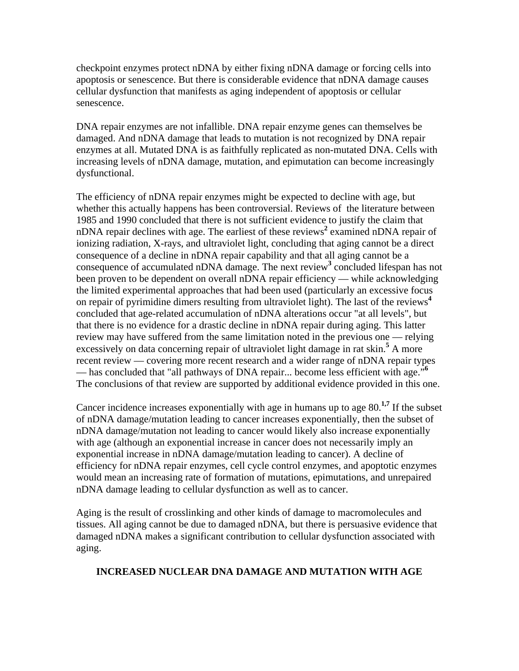checkpoint enzymes protect nDNA by either fixing nDNA damage or forcing cells into apoptosis or senescence. But there is considerable evidence that nDNA damage causes cellular dysfunction that manifests as aging independent of apoptosis or cellular senescence.

DNA repair enzymes are not infallible. DNA repair enzyme genes can themselves be damaged. And nDNA damage that leads to mutation is not recognized by DNA repair enzymes at all. Mutated DNA is as faithfully replicated as non-mutated DNA. Cells with increasing levels of nDNA damage, mutation, and epimutation can become increasingly dysfunctional.

The efficiency of nDNA repair enzymes might be expected to decline with age, but whether this actually happens has been controversial. Reviews of the literature between 1985 and 1990 concluded that there is not sufficient evidence to justify the claim that nDNA repair declines with age. The earliest of these reviews<sup>2</sup> examined nDNA repair of ionizing radiation, X-rays, and ultraviolet light, concluding that aging cannot be a direct consequence of a decline in nDNA repair capability and that all aging cannot be a consequence of accumulated nDNA damage. The next review**<sup>3</sup>** concluded lifespan has not been proven to be dependent on overall nDNA repair efficiency — while acknowledging the limited experimental approaches that had been used (particularly an excessive focus on repair of pyrimidine dimers resulting from ultraviolet light). The last of the reviews**<sup>4</sup>** concluded that age-related accumulation of nDNA alterations occur "at all levels", but that there is no evidence for a drastic decline in nDNA repair during aging. This latter review may have suffered from the same limitation noted in the previous one — relying excessively on data concerning repair of ultraviolet light damage in rat skin.<sup>5</sup> A more A more recent review — covering more recent research and a wider range of nDNA repair types — has concluded that "all pathways of DNA repair... become less efficient with age."<sup>6</sup> The conclusions of that review are supported by additional evidence provided in this one.<br>Cancer incidence increases exponentially with age in humans up to age 80.<sup>1,7</sup> If the subset

 If the subset of nDNA damage/mutation leading to cancer increases exponentially, then the subset of nDNA damage/mutation not leading to cancer would likely also increase exponentially with age (although an exponential increase in cancer does not necessarily imply an exponential increase in nDNA damage/mutation leading to cancer). A decline of efficiency for nDNA repair enzymes, cell cycle control enzymes, and apoptotic enzymes would mean an increasing rate of formation of mutations, epimutations, and unrepaired nDNA damage leading to cellular dysfunction as well as to cancer.

Aging is the result of crosslinking and other kinds of damage to macromolecules and tissues. All aging cannot be due to damaged nDNA, but there is persuasive evidence that damaged nDNA makes a significant contribution to cellular dysfunction associated with aging.

#### **INCREASED NUCLEAR DNA DAMAGE AND MUTATION WITH AGE**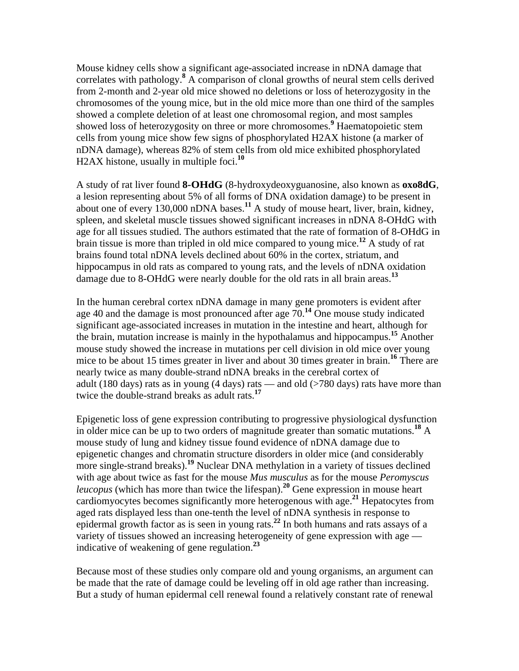Mouse kidney cells show a significant age-associated increase in nDNA damage that correlates with pathology.<sup>8</sup> A comparison of clonal growths of neural stem cells derived from 2-month and 2-year old mice showed no deletions or loss of heterozygosity in the chromosomes of the young mice, but in the old mice more than one third of the samples showed a complete deletion of at least one chromosomal region, and most samples showed loss of heterozygosity on three or more chromosomes.<sup>9</sup> Haematopoietic stem cells from young mice show few signs of phosphorylated H2AX histone (a marker of nDNA damage), whereas 82% of stem cells from old mice exhibited phosphorylated H2AX histone, usually in multiple foci.**<sup>10</sup>**

A study of rat liver found **8-OHdG** (8-hydroxydeoxyguanosine, also known as **oxo8dG**, a lesion representing about 5% of all forms of DNA oxidation damage) to be present in about one of every 130,000 nDNA bases.**<sup>11</sup>** A study of mouse heart, liver, brain, kidney, spleen, and skeletal muscle tissues showed significant increases in nDNA 8-OHdG with age for all tissues studied. The authors estimated that the rate of formation of 8-OHdG in brain tissue is more than tripled in old mice compared to young mice.**<sup>12</sup>** A study of rat brains found total nDNA levels declined about 60% in the cortex, striatum, and hippocampus in old rats as compared to young rats, and the levels of nDNA oxidation damage due to 8-OHdG were nearly double for the old rats in all brain areas.**<sup>13</sup>**

In the human cerebral cortex nDNA damage in many gene promoters is evident after age 40 and the damage is most pronounced after age 70.**<sup>14</sup>** One mouse study indicated significant age-associated increases in mutation in the intestine and heart, although for the brain, mutation increase is mainly in the hypothalamus and hippocampus.**<sup>15</sup>** Another mouse study showed the increase in mutations per cell division in old mice over young mice to be about 15 times greater in liver and about 30 times greater in brain.<sup>16</sup> There are There are nearly twice as many double-strand nDNA breaks in the cerebral cortex of adult (180 days) rats as in young (4 days) rats — and old ( $>780$  days) rats have more than twice the double-strand breaks as adult rats.**<sup>17</sup>**

Epigenetic loss of gene expression contributing to progressive physiological dysfunction in older mice can be up to two orders of magnitude greater than somatic mutations.**<sup>18</sup>** A mouse study of lung and kidney tissue found evidence of nDNA damage due to epigenetic changes and chromatin structure disorders in older mice (and considerably more single-strand breaks).<sup>19</sup> Nuclear DNA methylation in a variety of tissues declined with age about twice as fast for the mouse *Mus musculus* as for the mouse *Peromyscus leucopus* (which has more than twice the lifespan).**<sup>20</sup>** Gene expression in mouse heart cardiomyocytes becomes significantly more heterogenous with age.**<sup>21</sup>** Hepatocytes from aged rats displayed less than one-tenth the level of nDNA synthesis in response to epidermal growth factor as is seen in young rats.**<sup>22</sup>** In both humans and rats assays of a variety of tissues showed an increasing heterogeneity of gene expression with age indicative of weakening of gene regulation.**<sup>23</sup>**

Because most of these studies only compare old and young organisms, an argument can be made that the rate of damage could be leveling off in old age rather than increasing. But a study of human epidermal cell renewal found a relatively constant rate of renewal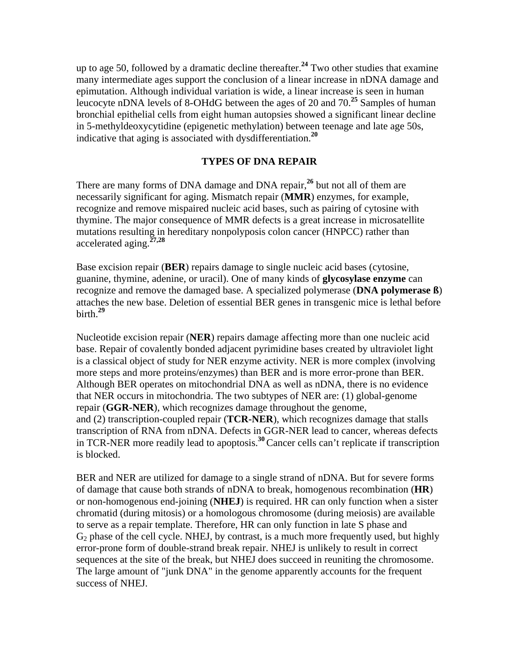up to age 50, followed by a dramatic decline thereafter.**<sup>24</sup>** Two other studies that examine many intermediate ages support the conclusion of a linear increase in nDNA damage and epimutation. Although individual variation is wide, a linear increase is seen in human leucocyte nDNA levels of 8-OHdG between the ages of 20 and 70.**<sup>25</sup>** Samples of human bronchial epithelial cells from eight human autopsies showed a significant linear decline in 5-methyldeoxycytidine (epigenetic methylation) between teenage and late age 50s, indicative that aging is associated with dysdifferentiation.**<sup>20</sup>**

#### **TYPES OF DNA REPAIR**

There are many forms of DNA damage and DNA repair,**<sup>26</sup>** but not all of them are necessarily significant for aging. Mismatch repair (**MMR**) enzymes, for example, recognize and remove mispaired nucleic acid bases, such as pairing of cytosine with thymine. The major consequence of MMR defects is a great increase in microsatellite mutations resulting in hereditary nonpolyposis colon cancer (HNPCC) rather than accelerated aging.<sup>27,28</sup> accelerated aging.**27,28**

Base excision repair (**BER**) repairs damage to single nucleic acid bases (cytosine, guanine, thymine, adenine, or uracil). One of many kinds of **glycosylase enzyme** can recognize and remove the damaged base. A specialized polymerase (**DNA polymerase ß**) attaches the new base. Deletion of essential BER genes in transgenic mice is lethal before<br>hirth <sup>29</sup> birth.**<sup>29</sup>**

Nucleotide excision repair (**NER**) repairs damage affecting more than one nucleic acid base. Repair of covalently bonded adjacent pyrimidine bases created by ultraviolet light is a classical object of study for NER enzyme activity. NER is more complex (involving more steps and more proteins/enzymes) than BER and is more error-prone than BER. Although BER operates on mitochondrial DNA as well as nDNA, there is no evidence that NER occurs in mitochondria. The two subtypes of NER are: (1) global-genome repair (**GGR-NER**), which recognizes damage throughout the genome, and (2) transcription-coupled repair (**TCR-NER**), which recognizes damage that stalls transcription of RNA from nDNA. Defects in GGR-NER lead to cancer, whereas defects in TCR-NER more readily lead to apoptosis.**<sup>30</sup>**Cancer cells can't replicate if transcription is blocked.

BER and NER are utilized for damage to a single strand of nDNA. But for severe forms of damage that cause both strands of nDNA to break, homogenous recombination (**HR**) or non-homogenous end-joining (**NHEJ**) is required. HR can only function when a sister chromatid (during mitosis) or a homologous chromosome (during meiosis) are available to serve as a repair template. Therefore, HR can only function in late S phase and  $G<sub>2</sub>$  phase of the cell cycle. NHEJ, by contrast, is a much more frequently used, but highly error-prone form of double-strand break repair. NHEJ is unlikely to result in correct sequences at the site of the break, but NHEJ does succeed in reuniting the chromosome. The large amount of "junk DNA" in the genome apparently accounts for the frequent success of NHEJ.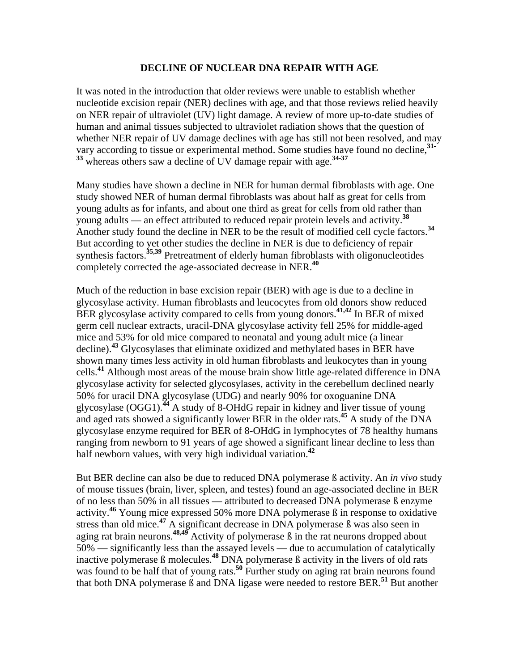#### **DECLINE OF NUCLEAR DNA REPAIR WITH AGE**

It was noted in the introduction that older reviews were unable to establish whether nucleotide excision repair (NER) declines with age, and that those reviews relied heavily on NER repair of ultraviolet (UV) light damage. A review of more up-to-date studies of human and animal tissues subjected to ultraviolet radiation shows that the question of whether NER repair of UV damage declines with age has still not been resolved, and may vary according to tissue or experimental method. Some studies have found no decline,**31- <sup>33</sup>** whereas others saw a decline of UV damage repair with age.**34-37**

Many studies have shown a decline in NER for human dermal fibroblasts with age. One study showed NER of human dermal fibroblasts was about half as great for cells from young adults as for infants, and about one third as great for cells from old rather than young adults — an effect attributed to reduced repair protein levels and activity.**<sup>38</sup>** Another study found the decline in NER to be the result of modified cell cycle factors.**<sup>34</sup>** But according to yet other studies the decline in NER is due to deficiency of repair synthesis factors.<sup>35,39</sup> Pretreatment of elderly human fibroblasts with oligonucleotides completely corrected the age-associated decrease in NER.**<sup>40</sup>**

Much of the reduction in base excision repair (BER) with age is due to a decline in glycosylase activity. Human fibroblasts and leucocytes from old donors show reduced BER glycosylase activity compared to cells from young donors.**41,42** In BER of mixed germ cell nuclear extracts, uracil-DNA glycosylase activity fell 25% for middle-aged mice and 53% for old mice compared to neonatal and young adult mice (a linear decline).**<sup>43</sup>** Glycosylases that eliminate oxidized and methylated bases in BER have shown many times less activity in old human fibroblasts and leukocytes than in young cells.**<sup>41</sup>** Although most areas of the mouse brain show little age-related difference in DNA glycosylase activity for selected glycosylases, activity in the cerebellum declined nearly 50% for uracil DNA glycosylase (UDG) and nearly 90% for oxoguanine DNA glycosylase (OGG1).**<sup>44</sup>** A study of 8-OHdG repair in kidney and liver tissue of young and aged rats showed a significantly lower BER in the older rats.**<sup>45</sup>** A study of the DNA glycosylase enzyme required for BER of 8-OHdG in lymphocytes of 78 healthy humans ranging from newborn to 91 years of age showed a significant linear decline to less than half newborn values, with very high individual variation.**<sup>42</sup>**

But BER decline can also be due to reduced DNA polymerase ß activity. An *in vivo* study of mouse tissues (brain, liver, spleen, and testes) found an age-associated decline in BER of no less than 50% in all tissues — attributed to decreased DNA polymerase ß enzyme activity.**<sup>46</sup>** Young mice expressed 50% more DNA polymerase ß in response to oxidative stress than old mice.**<sup>47</sup>** A significant decrease in DNA polymerase ß was also seen in aging rat brain neurons.**48,49** Activity of polymerase ß in the rat neurons dropped about 50% — significantly less than the assayed levels — due to accumulation of catalytically inactive polymerase ß molecules.**<sup>48</sup>** DNA polymerase ß activity in the livers of old rats was found to be half that of young rats.<sup>50</sup> Further study on aging rat brain neurons found that both DNA polymerase ß and DNA ligase were needed to restore BER.**<sup>51</sup>** But another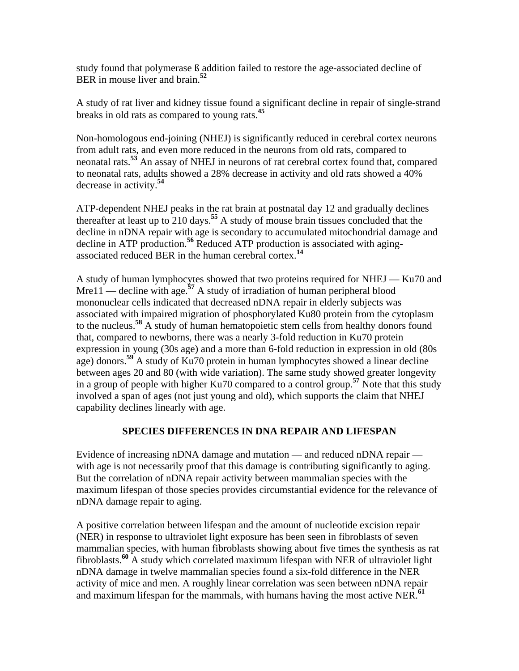study found that polymerase ß addition failed to restore the age-associated decline of BER in mouse liver and brain.**<sup>52</sup>**

A study of rat liver and kidney tissue found a significant decline in repair of single-strand breaks in old rats as compared to young rats.**<sup>45</sup>**

Non-homologous end-joining (NHEJ) is significantly reduced in cerebral cortex neurons from adult rats, and even more reduced in the neurons from old rats, compared to neonatal rats.**<sup>53</sup>** An assay of NHEJ in neurons of rat cerebral cortex found that, compared to neonatal rats, adults showed a 28% decrease in activity and old rats showed a 40% decrease in activity.**<sup>54</sup>**

ATP-dependent NHEJ peaks in the rat brain at postnatal day 12 and gradually declines thereafter at least up to 210 days.**<sup>55</sup>** A study of mouse brain tissues concluded that the decline in nDNA repair with age is secondary to accumulated mitochondrial damage and decline in ATP production.<sup>56</sup> Reduced ATP production is associated with agingassociated reduced BER in the human cerebral cortex.**<sup>14</sup>**

A study of human lymphocytes showed that two proteins required for NHEJ — Ku70 and Mre11 — decline with age.<sup>57</sup> A study of irradiation of human peripheral blood mononuclear cells indicated that decreased nDNA repair in elderly subjects was associated with impaired migration of phosphorylated Ku80 protein from the cytoplasm to the nucleus.**<sup>58</sup>** A study of human hematopoietic stem cells from healthy donors found that, compared to newborns, there was a nearly 3-fold reduction in Ku70 protein expression in young (30s age) and a more than 6-fold reduction in expression in old (80s age) donors.**<sup>59</sup>** A study of Ku70 protein in human lymphocytes showed a linear decline between ages 20 and 80 (with wide variation). The same study showed greater longevity in a group of people with higher Ku70 compared to a control group.**<sup>57</sup>** Note that this study involved a span of ages (not just young and old), which supports the claim that NHEJ capability declines linearly with age.

## **SPECIES DIFFERENCES IN DNA REPAIR AND LIFESPAN**

Evidence of increasing nDNA damage and mutation — and reduced nDNA repair with age is not necessarily proof that this damage is contributing significantly to aging. But the correlation of nDNA repair activity between mammalian species with the maximum lifespan of those species provides circumstantial evidence for the relevance of nDNA damage repair to aging.

A positive correlation between lifespan and the amount of nucleotide excision repair (NER) in response to ultraviolet light exposure has been seen in fibroblasts of seven mammalian species, with human fibroblasts showing about five times the synthesis as rat fibroblasts.**<sup>60</sup>** A study which correlated maximum lifespan with NER of ultraviolet light nDNA damage in twelve mammalian species found a six-fold difference in the NER activity of mice and men. A roughly linear correlation was seen between nDNA repair and maximum lifespan for the mammals, with humans having the most active NER.**<sup>61</sup>**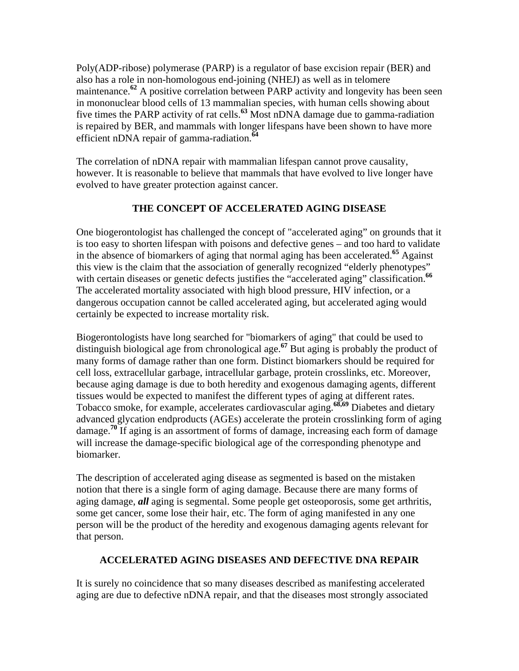Poly(ADP-ribose) polymerase (PARP) is a regulator of base excision repair (BER) and also has a role in non-homologous end-joining (NHEJ) as well as in telomere maintenance.<sup>62</sup> A positive correlation between PARP activity and longevity has been seen in mononuclear blood cells of 13 mammalian species, with human cells showing about five times the PARP activity of rat cells.**<sup>63</sup>** Most nDNA damage due to gamma-radiation is repaired by BER, and mammals with longer lifespans have been shown to have more efficient nDNA repair of gamma-radiation.**<sup>64</sup>**

The correlation of nDNA repair with mammalian lifespan cannot prove causality, however. It is reasonable to believe that mammals that have evolved to live longer have evolved to have greater protection against cancer.

## **THE CONCEPT OF ACCELERATED AGING DISEASE**

One biogerontologist has challenged the concept of "accelerated aging" on grounds that it is too easy to shorten lifespan with poisons and defective genes – and too hard to validate in the absence of biomarkers of aging that normal aging has been accelerated.**<sup>65</sup>** Against this view is the claim that the association of generally recognized "elderly phenotypes" with certain diseases or genetic defects justifies the "accelerated aging" classification.<sup>66</sup> The accelerated mortality associated with high blood pressure, HIV infection, or a dangerous occupation cannot be called accelerated aging, but accelerated aging would certainly be expected to increase mortality risk.

Biogerontologists have long searched for "biomarkers of aging" that could be used to distinguish biological age from chronological age.**<sup>67</sup>** But aging is probably the product of many forms of damage rather than one form. Distinct biomarkers should be required for cell loss, extracellular garbage, intracellular garbage, protein crosslinks, etc. Moreover, because aging damage is due to both heredity and exogenous damaging agents, different tissues would be expected to manifest the different types of aging at different rates. Tobacco smoke, for example, accelerates cardiovascular aging.**68,69** Diabetes and dietary advanced glycation endproducts (AGEs) accelerate the protein crosslinking form of aging damage.**<sup>70</sup>** If aging is an assortment of forms of damage, increasing each form of damage will increase the damage-specific biological age of the corresponding phenotype and biomarker.

The description of accelerated aging disease as segmented is based on the mistaken notion that there is a single form of aging damage. Because there are many forms of aging damage, *all* aging is segmental. Some people get osteoporosis, some get arthritis, some get cancer, some lose their hair, etc. The form of aging manifested in any one person will be the product of the heredity and exogenous damaging agents relevant for that person.

## **ACCELERATED AGING DISEASES AND DEFECTIVE DNA REPAIR**

It is surely no coincidence that so many diseases described as manifesting accelerated aging are due to defective nDNA repair, and that the diseases most strongly associated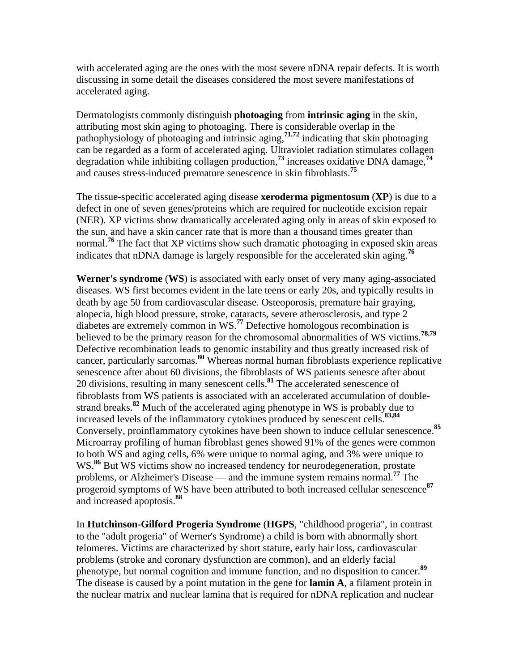with accelerated aging are the ones with the most severe nDNA repair defects. It is worth discussing in some detail the diseases considered the most severe manifestations of accelerated aging.

Dermatologists commonly distinguish **photoaging** from **intrinsic aging** in the skin, attributing most skin aging to photoaging. There is considerable overlap in the pathophysiology of photoaging and intrinsic aging,**71,72** indicating that skin photoaging can be regarded as a form of accelerated aging. Ultraviolet radiation stimulates collagen degradation while inhibiting collagen production,**<sup>73</sup>** increases oxidative DNA damage,**<sup>74</sup>** and causes stress-induced premature senescence in skin fibroblasts.**<sup>75</sup>**

The tissue-specific accelerated aging disease **xeroderma pigmentosum** (**XP**) is due to a defect in one of seven genes/proteins which are required for nucleotide excision repair (NER). XP victims show dramatically accelerated aging only in areas of skin exposed to the sun, and have a skin cancer rate that is more than a thousand times greater than normal.**<sup>76</sup>** The fact that XP victims show such dramatic photoaging in exposed skin areas indicates that nDNA damage is largely responsible for the accelerated skin aging.**<sup>76</sup>**

**Werner's syndrome** (**WS**) is associated with early onset of very many aging-associated diseases. WS first becomes evident in the late teens or early 20s, and typically results in death by age 50 from cardiovascular disease. Osteoporosis, premature hair graying, alopecia, high blood pressure, stroke, cataracts, severe atherosclerosis, and type 2 diabetes are extremely common in WS.**<sup>77</sup>** Defective homologous recombination is believed to be the primary reason for the chromosomal abnormalities of WS victims.**78,79** Defective recombination leads to genomic instability and thus greatly increased risk of cancer, particularly sarcomas.**<sup>80</sup>** Whereas normal human fibroblasts experience replicative senescence after about 60 divisions, the fibroblasts of WS patients senesce after about 20 divisions, resulting in many senescent cells.**<sup>81</sup>** The accelerated senescence of fibroblasts from WS patients is associated with an accelerated accumulation of double strand breaks.**<sup>82</sup>** Much of the accelerated aging phenotype in WS is probably due to increased levels of the inflammatory cytokines produced by senescent cells.**83,84** Conversely, proinflammatory cytokines have been shown to induce cellular senescence.**<sup>85</sup>** Microarray profiling of human fibroblast genes showed 91% of the genes were common to both WS and aging cells, 6% were unique to normal aging, and 3% were unique to WS.<sup>86</sup> But WS victims show no increased tendency for neurodegeneration, prostate problems, or Alzheimer's Disease — and the immune system remains normal.**<sup>77</sup>** The progeroid symptoms of WS have been attributed to both increased cellular senescence**<sup>87</sup>** and increased apoptosis.**<sup>88</sup>**

In **Hutchinson-Gilford Progeria Syndrome** (**HGPS**, "childhood progeria", in contrast to the "adult progeria" of Werner's Syndrome) a child is born with abnormally short telomeres. Victims are characterized by short stature, early hair loss, cardiovascular problems (stroke and coronary dysfunction are common), and an elderly facial phenotype, but normal cognition and immune function, and no disposition to cancer.**<sup>89</sup>** The disease is caused by a point mutation in the gene for **lamin A**, a filament protein in the nuclear matrix and nuclear lamina that is required for nDNA replication and nuclear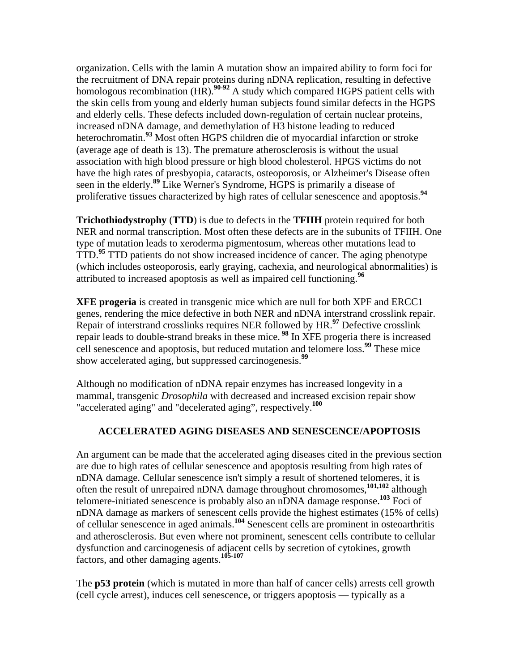organization. Cells with the lamin A mutation show an impaired ability to form foci for the recruitment of DNA repair proteins during nDNA replication, resulting in defective homologous recombination (HR).<sup>90-92</sup> A study which compared HGPS patient cells with the skin cells from young and elderly human subjects found similar defects in the HGPS and elderly cells. These defects included down-regulation of certain nuclear proteins, increased nDNA damage, and demethylation of H3 histone leading to reduced heterochromatin.**<sup>93</sup>** Most often HGPS children die of myocardial infarction or stroke (average age of death is 13). The premature atherosclerosis is without the usual association with high blood pressure or high blood cholesterol. HPGS victims do not have the high rates of presbyopia, cataracts, osteoporosis, or Alzheimer's Disease often seen in the elderly.**<sup>89</sup>** Like Werner's Syndrome, HGPS is primarily a disease of proliferative tissues characterized by high rates of cellular senescence and apoptosis.**<sup>94</sup>**

**Trichothiodystrophy** (**TTD**) is due to defects in the **TFIIH** protein required for both NER and normal transcription. Most often these defects are in the subunits of TFIIH. One type of mutation leads to xeroderma pigmentosum, whereas other mutations lead to TTD.**<sup>95</sup>** TTD patients do not show increased incidence of cancer. The aging phenotype (which includes osteoporosis, early graying, cachexia, and neurological abnormalities) is attributed to increased apoptosis as well as impaired cell functioning.**<sup>96</sup>**

**XFE progeria** is created in transgenic mice which are null for both XPF and ERCC1 genes, rendering the mice defective in both NER and nDNA interstrand crosslink repair. Repair of interstrand crosslinks requires NER followed by HR.**<sup>97</sup>** Defective crosslink repair leads to double-strand breaks in these mice. **<sup>98</sup>** In XFE progeria there is increased cell senescence and apoptosis, but reduced mutation and telomere loss.**<sup>99</sup>** These mice show accelerated aging, but suppressed carcinogenesis.**<sup>99</sup>**

Although no modification of nDNA repair enzymes has increased longevity in a mammal, transgenic *Drosophila* with decreased and increased excision repair show "accelerated aging" and "decelerated aging", respectively.**<sup>100</sup>**

## **ACCELERATED AGING DISEASES AND SENESCENCE/APOPTOSIS**

An argument can be made that the accelerated aging diseases cited in the previous section are due to high rates of cellular senescence and apoptosis resulting from high rates of nDNA damage. Cellular senescence isn't simply a result of shortened telomeres, it is often the result of unrepaired nDNA damage throughout chromosomes,**101,102** although telomere-initiated senescence is probably also an nDNA damage response.**<sup>103</sup>** Foci of nDNA damage as markers of senescent cells provide the highest estimates (15% of cells) of cellular senescence in aged animals.**<sup>104</sup>** Senescent cells are prominent in osteoarthritis and atherosclerosis. But even where not prominent, senescent cells contribute to cellular dysfunction and carcinogenesis of adjacent cells by secretion of cytokines, growth factors, and other damaging agents.**105-107**

The **p53 protein** (which is mutated in more than half of cancer cells) arrests cell growth (cell cycle arrest), induces cell senescence, or triggers apoptosis — typically as a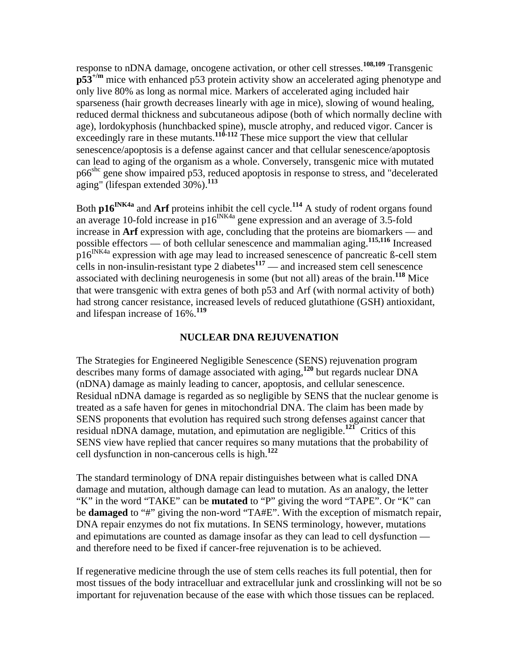response to nDNA damage, oncogene activation, or other cell stresses.**108,109** Transgenic **p53+/m** mice with enhanced p53 protein activity show an accelerated aging phenotype and only live 80% as long as normal mice. Markers of accelerated aging included hair sparseness (hair growth decreases linearly with age in mice), slowing of wound healing, reduced dermal thickness and subcutaneous adipose (both of which normally decline with age), lordokyphosis (hunchbacked spine), muscle atrophy, and reduced vigor. Cancer is exceedingly rare in these mutants.<sup>110-112</sup> These mice support the view that cellular senescence/apoptosis is a defense against cancer and that cellular senescence/apoptosis can lead to aging of the organism as a whole. Conversely, transgenic mice with mutated p66shc gene show impaired p53, reduced apoptosis in response to stress, and "decelerated aging" (lifespan extended 30%).**<sup>113</sup>**

Both **p16INK4a** and **Arf** proteins inhibit the cell cycle.**<sup>114</sup>** A study of rodent organs found an average 10-fold increase in  $p16^{INK4a}$  gene expression and an average of 3.5-fold increase in **Arf** expression with age, concluding that the proteins are biomarkers — and possible effectors — of both cellular senescence and mammalian aging.**115,116** Increased p16INK4a expression with age may lead to increased senescence of pancreatic ß-cell stem cells in non-insulin-resistant type 2 diabetes<sup>117</sup> — and increased stem cell senescence associated with declining neurogenesis in some (but not all) areas of the brain.**<sup>118</sup>** Mice that were transgenic with extra genes of both p53 and Arf (with normal activity of both) had strong cancer resistance, increased levels of reduced glutathione (GSH) antioxidant, and lifespan increase of 16%.**<sup>119</sup>**

#### **NUCLEAR DNA REJUVENATION**

The Strategies for Engineered Negligible Senescence (SENS) rejuvenation program describes many forms of damage associated with aging,**<sup>120</sup>** but regards nuclear DNA (nDNA) damage as mainly leading to cancer, apoptosis, and cellular senescence. Residual nDNA damage is regarded as so negligible by SENS that the nuclear genome is treated as a safe haven for genes in mitochondrial DNA. The claim has been made by SENS proponents that evolution has required such strong defenses against cancer that residual nDNA damage, mutation, and epimutation are negligible.**<sup>121</sup>** Critics of this SENS view have replied that cancer requires so many mutations that the probability of cell dysfunction in non-cancerous cells is high.**<sup>122</sup>**

The standard terminology of DNA repair distinguishes between what is called DNA damage and mutation, although damage can lead to mutation. As an analogy, the letter "K" in the word "TAKE" can be **mutated** to "P" giving the word "TAPE". Or "K" can be **damaged** to "#" giving the non-word "TA#E". With the exception of mismatch repair, DNA repair enzymes do not fix mutations. In SENS terminology, however, mutations and epimutations are counted as damage insofar as they can lead to cell dysfunction and therefore need to be fixed if cancer-free rejuvenation is to be achieved.

If regenerative medicine through the use of stem cells reaches its full potential, then for most tissues of the body intracelluar and extracellular junk and crosslinking will not be so important for rejuvenation because of the ease with which those tissues can be replaced.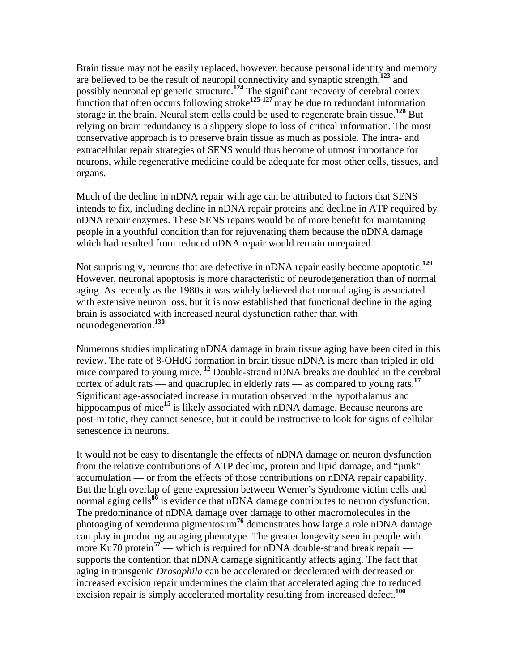Brain tissue may not be easily replaced, however, because personal identity and memory are believed to be the result of neuropil connectivity and synaptic strength,**<sup>123</sup>** and possibly neuronal epigenetic structure.**<sup>124</sup>** The significant recovery of cerebral cortex function that often occurs following stroke**125-127** may be due to redundant information storage in the brain. Neural stem cells could be used to regenerate brain tissue.**<sup>128</sup>** But relying on brain redundancy is a slippery slope to loss of critical information. The most conservative approach is to preserve brain tissue as much as possible. The intra- and extracellular repair strategies of SENS would thus become of utmost importance for neurons, while regenerative medicine could be adequate for most other cells, tissues, and organs.

Much of the decline in nDNA repair with age can be attributed to factors that SENS intends to fix, including decline in nDNA repair proteins and decline in ATP required by nDNA repair enzymes. These SENS repairs would be of more benefit for maintaining people in a youthful condition than for rejuvenating them because the nDNA damage which had resulted from reduced nDNA repair would remain unrepaired.

Not surprisingly, neurons that are defective in nDNA repair easily become apoptotic.**<sup>129</sup>** However, neuronal apoptosis is more characteristic of neurodegeneration than of normal aging. As recently as the 1980s it was widely believed that normal aging is associated with extensive neuron loss, but it is now established that functional decline in the aging brain is associated with increased neural dysfunction rather than with neurodegeneration.**<sup>130</sup>**

Numerous studies implicating nDNA damage in brain tissue aging have been cited in this review. The rate of 8-OHdG formation in brain tissue nDNA is more than tripled in old mice compared to young mice.**<sup>12</sup>** Double-strand nDNA breaks are doubled in the cerebral cortex of adult rats — and quadrupled in elderly rats — as compared to young rats.**<sup>17</sup>** Significant age-associated increase in mutation observed in the hypothalamus and hippocampus of mice<sup>15</sup> is likely associated with nDNA damage. Because neurons are post-mitotic, they cannot senesce, but it could be instructive to look for signs of cellular senescence in neurons.

It would not be easy to disentangle the effects of nDNA damage on neuron dysfunction from the relative contributions of ATP decline, protein and lipid damage, and "junk" accumulation — or from the effects of those contributions on nDNA repair capability. But the high overlap of gene expression between Werner's Syndrome victim cells and normal aging cells<sup>86</sup> is evidence that nDNA damage contributes to neuron dysfunction. The predominance of nDNA damage over damage to other macromolecules in the photoaging of xeroderma pigmentosum<sup>76</sup> demonstrates how large a role nDNA damage can play in producing an aging phenotype. The greater longevity seen in people with more Ku70 protein<sup>57</sup> — which is required for nDNA double-strand break repair supports the contention that nDNA damage significantly affects aging. The fact that aging in transgenic *Drosophila* can be accelerated or decelerated with decreased or increased excision repair undermines the claim that accelerated aging due to reduced excision repair is simply accelerated mortality resulting from increased defect.**<sup>100</sup>**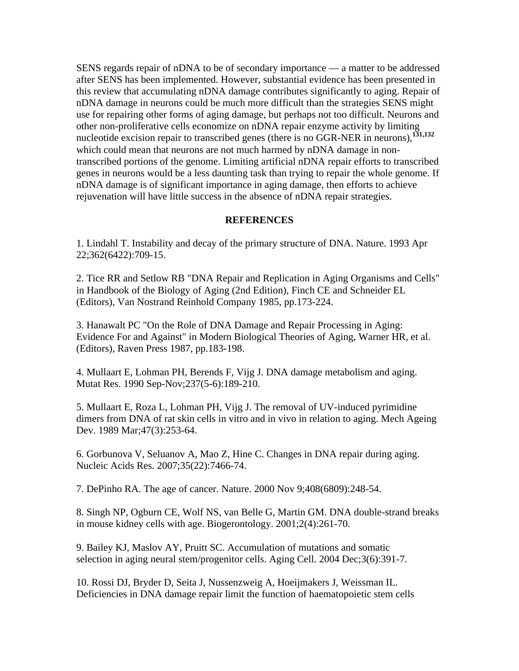SENS regards repair of nDNA to be of secondary importance — a matter to be addressed after SENS has been implemented. However, substantial evidence has been presented in this review that accumulating nDNA damage contributes significantly to aging. Repair of nDNA damage in neurons could be much more difficult than the strategies SENS might use for repairing other forms of aging damage, but perhaps not too difficult. Neurons and other non-proliferative cells economize on nDNA repair enzyme activity by limiting nucleotide excision repair to transcribed genes (there is no GGR-NER in neurons),**131,132** which could mean that neurons are not much harmed by nDNA damage in nontranscribed portions of the genome. Limiting artificial nDNA repair efforts to transcribed genes in neurons would be a less daunting task than trying to repair the whole genome. If nDNA damage is of significant importance in aging damage, then efforts to achieve rejuvenation will have little success in the absence of nDNA repair strategies.

#### **REFERENCES**

1. Lindahl T. Instability and decay of the primary structure of DNA. Nature. 1993 Apr 22;362(6422):709-15.

2. Tice RR and Setlow RB "DNA Repair and Replication in Aging Organisms and Cells" in Handbook of the Biology of Aging (2nd Edition), Finch CE and Schneider EL (Editors), Van Nostrand Reinhold Company 1985, pp.173-224.

3. Hanawalt PC "On the Role of DNA Damage and Repair Processing in Aging: Evidence For and Against" in Modern Biological Theories of Aging, Warner HR, et al. (Editors), Raven Press 1987, pp.183-198.

4. Mullaart E, Lohman PH, Berends F, Vijg J. DNA damage metabolism and aging. Mutat Res. 1990 Sep-Nov;237(5-6):189-210.

5. Mullaart E, Roza L, Lohman PH, Vijg J. The removal of UV-induced pyrimidine dimers from DNA of rat skin cells in vitro and in vivo in relation to aging. Mech Ageing Dev. 1989 Mar;47(3):253-64.

6. Gorbunova V, Seluanov A, Mao Z, Hine C. Changes in DNA repair during aging. Nucleic Acids Res. 2007;35(22):7466-74.

7. DePinho RA. The age of cancer. Nature. 2000 Nov 9;408(6809):248-54.

8. Singh NP, Ogburn CE, Wolf NS, van Belle G, Martin GM. DNA double-strand breaks in mouse kidney cells with age. Biogerontology. 2001;2(4):261-70.

9. Bailey KJ, Maslov AY, Pruitt SC. Accumulation of mutations and somatic selection in aging neural stem/progenitor cells. Aging Cell. 2004 Dec;3(6):391-7.

10. Rossi DJ, Bryder D, Seita J, Nussenzweig A, Hoeijmakers J, Weissman IL. Deficiencies in DNA damage repair limit the function of haematopoietic stem cells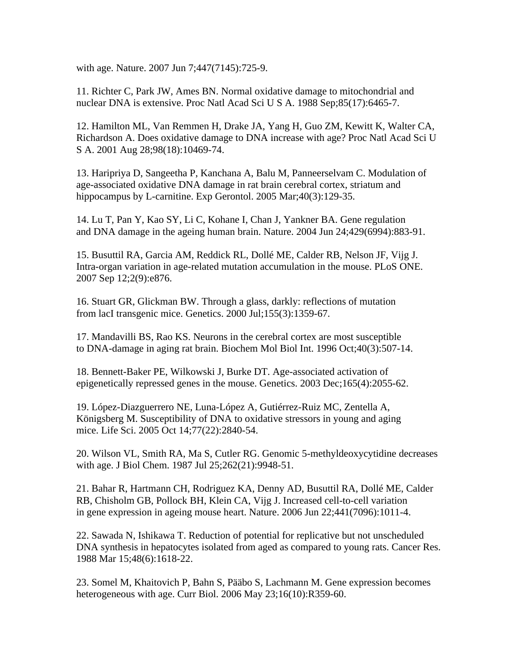with age. Nature. 2007 Jun 7;447(7145):725-9.

11. Richter C, Park JW, Ames BN. Normal oxidative damage to mitochondrial and nuclear DNA is extensive. Proc Natl Acad Sci U S A. 1988 Sep;85(17):6465-7.

12. Hamilton ML, Van Remmen H, Drake JA, Yang H, Guo ZM, Kewitt K, Walter CA, Richardson A. Does oxidative damage to DNA increase with age? Proc Natl Acad Sci U S A. 2001 Aug 28;98(18):10469-74.

13. Haripriya D, Sangeetha P, Kanchana A, Balu M, Panneerselvam C. Modulation of age-associated oxidative DNA damage in rat brain cerebral cortex, striatum and hippocampus by L-carnitine. Exp Gerontol. 2005 Mar; 40(3): 129-35.

14. Lu T, Pan Y, Kao SY, Li C, Kohane I, Chan J, Yankner BA. Gene regulation and DNA damage in the ageing human brain. Nature. 2004 Jun 24;429(6994):883-91.

15. Busuttil RA, Garcia AM, Reddick RL, Dollé ME, Calder RB, Nelson JF, Vijg J. Intra-organ variation in age-related mutation accumulation in the mouse. PLoS ONE. 2007 Sep 12;2(9):e876.

16. Stuart GR, Glickman BW. Through a glass, darkly: reflections of mutation from lacI transgenic mice. Genetics. 2000 Jul;155(3):1359-67.

17. Mandavilli BS, Rao KS. Neurons in the cerebral cortex are most susceptible to DNA-damage in aging rat brain. Biochem Mol Biol Int. 1996 Oct;40(3):507-14.

18. Bennett-Baker PE, Wilkowski J, Burke DT. Age-associated activation of epigenetically repressed genes in the mouse. Genetics. 2003 Dec;165(4):2055-62.

19. López-Diazguerrero NE, Luna-López A, Gutiérrez-Ruiz MC, Zentella A, Königsberg M. Susceptibility of DNA to oxidative stressors in young and aging mice. Life Sci. 2005 Oct 14;77(22):2840-54.

20. Wilson VL, Smith RA, Ma S, Cutler RG. Genomic 5-methyldeoxycytidine decreases with age. J Biol Chem. 1987 Jul 25;262(21):9948-51.

21. Bahar R, Hartmann CH, Rodriguez KA, Denny AD, Busuttil RA, Dollé ME, Calder RB, Chisholm GB, Pollock BH, Klein CA, Vijg J. Increased cell-to-cell variation in gene expression in ageing mouse heart. Nature. 2006 Jun 22;441(7096):1011-4.

22. Sawada N, Ishikawa T. Reduction of potential for replicative but not unscheduled DNA synthesis in hepatocytes isolated from aged as compared to young rats. Cancer Res. 1988 Mar 15;48(6):1618-22.

23. Somel M, Khaitovich P, Bahn S, Pääbo S, Lachmann M. Gene expression becomes heterogeneous with age. Curr Biol. 2006 May 23;16(10):R359-60.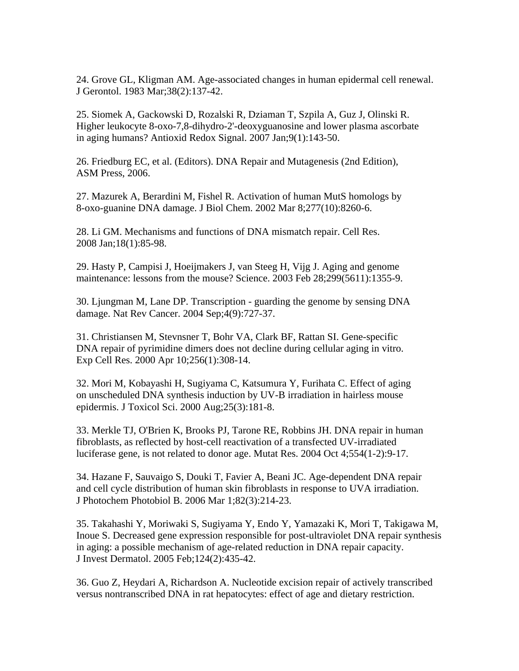24. Grove GL, Kligman AM. Age-associated changes in human epidermal cell renewal. J Gerontol. 1983 Mar;38(2):137-42.

25. Siomek A, Gackowski D, Rozalski R, Dziaman T, Szpila A, Guz J, Olinski R. Higher leukocyte 8-oxo-7,8-dihydro-2'-deoxyguanosine and lower plasma ascorbate in aging humans? Antioxid Redox Signal. 2007 Jan;9(1):143-50.

26. Friedburg EC, et al. (Editors). DNA Repair and Mutagenesis (2nd Edition), ASM Press, 2006.

27. Mazurek A, Berardini M, Fishel R. Activation of human MutS homologs by 8-oxo-guanine DNA damage. J Biol Chem. 2002 Mar 8;277(10):8260-6.

28. Li GM. Mechanisms and functions of DNA mismatch repair. Cell Res. 2008 Jan;18(1):85-98.

29. Hasty P, Campisi J, Hoeijmakers J, van Steeg H, Vijg J. Aging and genome maintenance: lessons from the mouse? Science. 2003 Feb 28;299(5611):1355-9.

30. Ljungman M, Lane DP. Transcription - guarding the genome by sensing DNA damage. Nat Rev Cancer. 2004 Sep;4(9):727-37.

31. Christiansen M, Stevnsner T, Bohr VA, Clark BF, Rattan SI. Gene-specific DNA repair of pyrimidine dimers does not decline during cellular aging in vitro. Exp Cell Res. 2000 Apr 10;256(1):308-14.

32. Mori M, Kobayashi H, Sugiyama C, Katsumura Y, Furihata C. Effect of aging on unscheduled DNA synthesis induction by UV-B irradiation in hairless mouse epidermis. J Toxicol Sci. 2000 Aug;25(3):181-8.

33. Merkle TJ, O'Brien K, Brooks PJ, Tarone RE, Robbins JH. DNA repair in human fibroblasts, as reflected by host-cell reactivation of a transfected UV-irradiated luciferase gene, is not related to donor age. Mutat Res. 2004 Oct 4;554(1-2):9-17.

34. Hazane F, Sauvaigo S, Douki T, Favier A, Beani JC. Age-dependent DNA repair and cell cycle distribution of human skin fibroblasts in response to UVA irradiation. J Photochem Photobiol B. 2006 Mar 1;82(3):214-23.

35. Takahashi Y, Moriwaki S, Sugiyama Y, Endo Y, Yamazaki K, Mori T, Takigawa M, Inoue S. Decreased gene expression responsible for post-ultraviolet DNA repair synthesis in aging: a possible mechanism of age-related reduction in DNA repair capacity. J Invest Dermatol. 2005 Feb;124(2):435-42.

36. Guo Z, Heydari A, Richardson A. Nucleotide excision repair of actively transcribed versus nontranscribed DNA in rat hepatocytes: effect of age and dietary restriction.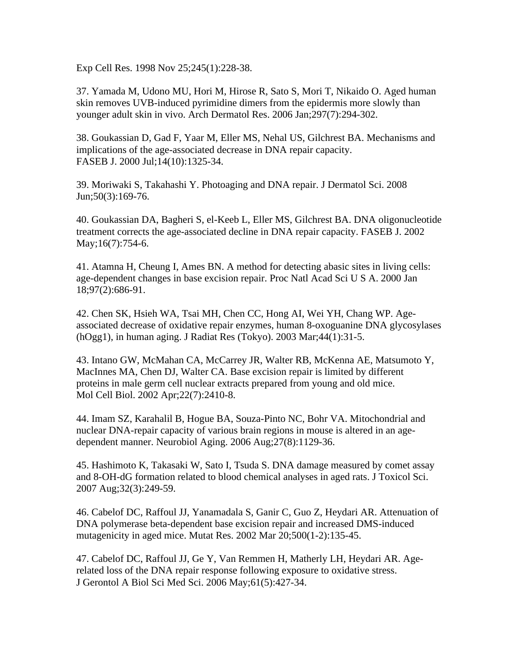Exp Cell Res. 1998 Nov 25;245(1):228-38.

37. Yamada M, Udono MU, Hori M, Hirose R, Sato S, Mori T, Nikaido O. Aged human skin removes UVB-induced pyrimidine dimers from the epidermis more slowly than younger adult skin in vivo. Arch Dermatol Res. 2006 Jan;297(7):294-302.

38. Goukassian D, Gad F, Yaar M, Eller MS, Nehal US, Gilchrest BA. Mechanisms and implications of the age-associated decrease in DNA repair capacity. FASEB J. 2000 Jul;14(10):1325-34.

39. Moriwaki S, Takahashi Y. Photoaging and DNA repair. J Dermatol Sci. 2008 Jun;50(3):169-76.

40. Goukassian DA, Bagheri S, el-Keeb L, Eller MS, Gilchrest BA. DNA oligonucleotide treatment corrects the age-associated decline in DNA repair capacity. FASEB J. 2002 May;16(7):754-6.

41. Atamna H, Cheung I, Ames BN. A method for detecting abasic sites in living cells: age-dependent changes in base excision repair. Proc Natl Acad Sci U S A. 2000 Jan 18;97(2):686-91.

42. Chen SK, Hsieh WA, Tsai MH, Chen CC, Hong AI, Wei YH, Chang WP. Age associated decrease of oxidative repair enzymes, human 8-oxoguanine DNA glycosylases (hOgg1), in human aging. J Radiat Res (Tokyo). 2003 Mar;44(1):31-5.

43. Intano GW, McMahan CA, McCarrey JR, Walter RB, McKenna AE, Matsumoto Y, MacInnes MA, Chen DJ, Walter CA. Base excision repair is limited by different proteins in male germ cell nuclear extracts prepared from young and old mice. Mol Cell Biol. 2002 Apr;22(7):2410-8.

44. Imam SZ, Karahalil B, Hogue BA, Souza-Pinto NC, Bohr VA. Mitochondrial and nuclear DNA-repair capacity of various brain regions in mouse is altered in an age dependent manner. Neurobiol Aging. 2006 Aug;27(8):1129-36.

45. Hashimoto K, Takasaki W, Sato I, Tsuda S. DNA damage measured by comet assay and 8-OH-dG formation related to blood chemical analyses in aged rats. J Toxicol Sci. 2007 Aug;32(3):249-59.

46. Cabelof DC, Raffoul JJ, Yanamadala S, Ganir C, Guo Z, Heydari AR. Attenuation of DNA polymerase beta-dependent base excision repair and increased DMS-induced mutagenicity in aged mice. Mutat Res. 2002 Mar 20;500(1-2):135-45.

47. Cabelof DC, Raffoul JJ, Ge Y, Van Remmen H, Matherly LH, Heydari AR. Agerelated loss of the DNA repair response following exposure to oxidative stress. J Gerontol A Biol Sci Med Sci. 2006 May;61(5):427-34.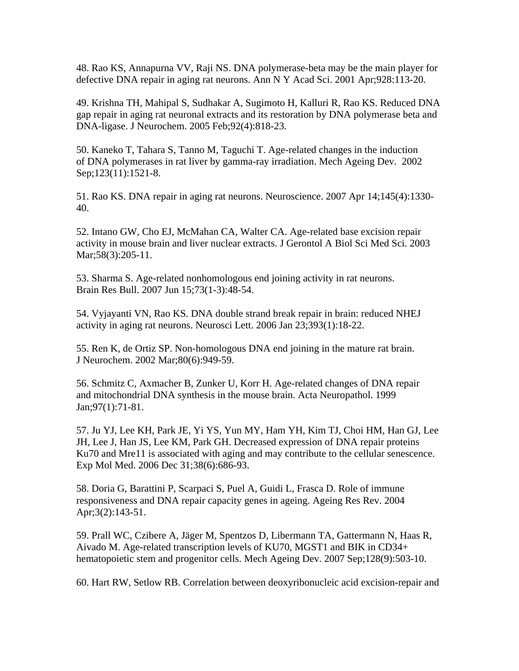48. Rao KS, Annapurna VV, Raji NS. DNA polymerase-beta may be the main player for defective DNA repair in aging rat neurons. Ann N Y Acad Sci. 2001 Apr;928:113-20.

49. Krishna TH, Mahipal S, Sudhakar A, Sugimoto H, Kalluri R, Rao KS. Reduced DNA gap repair in aging rat neuronal extracts and its restoration by DNA polymerase beta and DNA-ligase. J Neurochem. 2005 Feb;92(4):818-23.

50. Kaneko T, Tahara S, Tanno M, Taguchi T. Age-related changes in the induction of DNA polymerases in rat liver by gamma-ray irradiation. Mech Ageing Dev. 2002 Sep;123(11):1521-8.

51. Rao KS. DNA repair in aging rat neurons. Neuroscience. 2007 Apr 14;145(4):1330- 40.

52. Intano GW, Cho EJ, McMahan CA, Walter CA. Age-related base excision repair activity in mouse brain and liver nuclear extracts. J Gerontol A Biol Sci Med Sci. 2003 Mar; 58(3): 205-11.

53. Sharma S. Age-related nonhomologous end joining activity in rat neurons. Brain Res Bull. 2007 Jun 15;73(1-3):48-54.

54. Vyjayanti VN, Rao KS. DNA double strand break repair in brain: reduced NHEJ activity in aging rat neurons. Neurosci Lett. 2006 Jan 23;393(1):18-22.

55. Ren K, de Ortiz SP. Non-homologous DNA end joining in the mature rat brain. J Neurochem. 2002 Mar;80(6):949-59.

56. Schmitz C, Axmacher B, Zunker U, Korr H. Age-related changes of DNA repair and mitochondrial DNA synthesis in the mouse brain. Acta Neuropathol. 1999 Jan;97(1):71-81.

57. Ju YJ, Lee KH, Park JE, Yi YS, Yun MY, Ham YH, Kim TJ, Choi HM, Han GJ, Lee JH, Lee J, Han JS, Lee KM, Park GH. Decreased expression of DNA repair proteins Ku70 and Mre11 is associated with aging and may contribute to the cellular senescence. Exp Mol Med. 2006 Dec 31;38(6):686-93.

58. Doria G, Barattini P, Scarpaci S, Puel A, Guidi L, Frasca D. Role of immune responsiveness and DNA repair capacity genes in ageing. Ageing Res Rev. 2004 Apr;3(2):143-51.

59. Prall WC, Czibere A, Jäger M, Spentzos D, Libermann TA, Gattermann N, Haas R, Aivado M. Age-related transcription levels of KU70, MGST1 and BIK in CD34+ hematopoietic stem and progenitor cells. Mech Ageing Dev. 2007 Sep;128(9):503-10.

60. Hart RW, Setlow RB. Correlation between deoxyribonucleic acid excision-repair and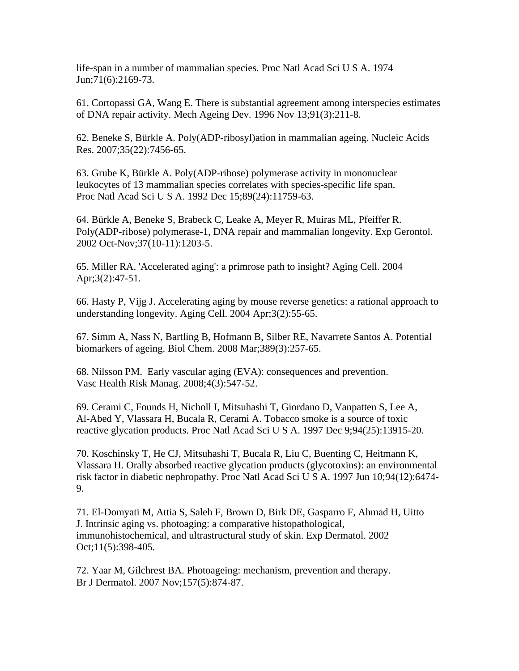life-span in a number of mammalian species. Proc Natl Acad Sci U S A. 1974 Jun;71(6):2169-73.

61. Cortopassi GA, Wang E. There is substantial agreement among interspecies estimates of DNA repair activity. Mech Ageing Dev. 1996 Nov 13;91(3):211-8.

62. Beneke S, Bürkle A. Poly(ADP-ribosyl)ation in mammalian ageing. Nucleic Acids Res. 2007;35(22):7456-65.

63. Grube K, Bürkle A. Poly(ADP-ribose) polymerase activity in mononuclear leukocytes of 13 mammalian species correlates with species-specific life span. Proc Natl Acad Sci U S A. 1992 Dec 15;89(24):11759-63.

64. Bürkle A, Beneke S, Brabeck C, Leake A, Meyer R, Muiras ML, Pfeiffer R. Poly(ADP-ribose) polymerase-1, DNA repair and mammalian longevity. Exp Gerontol. 2002 Oct-Nov;37(10-11):1203-5.

65. Miller RA. 'Accelerated aging': a primrose path to insight? Aging Cell. 2004 Apr;3(2):47-51.

66. Hasty P, Vijg J. Accelerating aging by mouse reverse genetics: a rational approach to understanding longevity. Aging Cell. 2004 Apr;3(2):55-65.

67. Simm A, Nass N, Bartling B, Hofmann B, Silber RE, Navarrete Santos A. Potential biomarkers of ageing. Biol Chem. 2008 Mar;389(3):257-65.

68. Nilsson PM. Early vascular aging (EVA): consequences and prevention. Vasc Health Risk Manag. 2008;4(3):547-52.

69. Cerami C, Founds H, Nicholl I, Mitsuhashi T, Giordano D, Vanpatten S, Lee A, Al-Abed Y, Vlassara H, Bucala R, Cerami A. Tobacco smoke is a source of toxic reactive glycation products. Proc Natl Acad Sci U S A. 1997 Dec 9;94(25):13915-20.

70. Koschinsky T, He CJ, Mitsuhashi T, Bucala R, Liu C, Buenting C, Heitmann K, Vlassara H. Orally absorbed reactive glycation products (glycotoxins): an environmental risk factor in diabetic nephropathy. Proc Natl Acad Sci U S A. 1997 Jun 10;94(12):6474- 9.

71. El-Domyati M, Attia S, Saleh F, Brown D, Birk DE, Gasparro F, Ahmad H, Uitto J. Intrinsic aging vs. photoaging: a comparative histopathological, immunohistochemical, and ultrastructural study of skin. Exp Dermatol. 2002 Oct;11(5):398-405.

72. Yaar M, Gilchrest BA. Photoageing: mechanism, prevention and therapy. Br J Dermatol. 2007 Nov;157(5):874-87.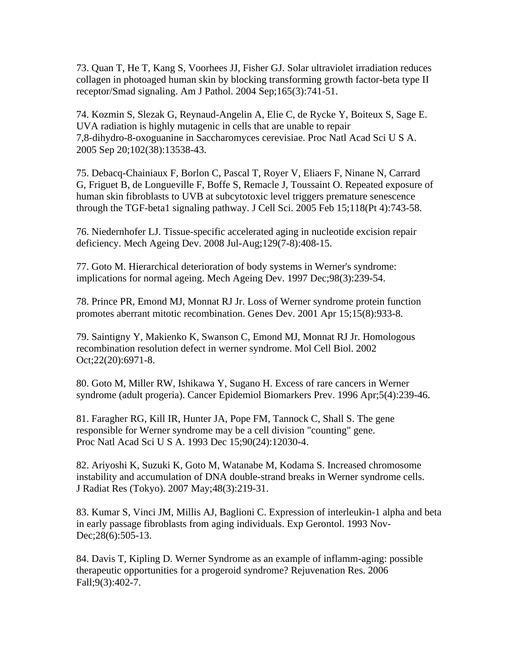73. Quan T, He T, Kang S, Voorhees JJ, Fisher GJ. Solar ultraviolet irradiation reduces collagen in photoaged human skin by blocking transforming growth factor-beta type II receptor/Smad signaling. Am J Pathol. 2004 Sep;165(3):741-51.

74. Kozmin S, Slezak G, Reynaud-Angelin A, Elie C, de Rycke Y, Boiteux S, Sage E. UVA radiation is highly mutagenic in cells that are unable to repair 7,8-dihydro-8-oxoguanine in Saccharomyces cerevisiae. Proc Natl Acad Sci U S A. 2005 Sep 20;102(38):13538-43.

75. Debacq-Chainiaux F, Borlon C, Pascal T, Royer V, Eliaers F, Ninane N, Carrard G, Friguet B, de Longueville F, Boffe S, Remacle J, Toussaint O. Repeated exposure of human skin fibroblasts to UVB at subcytotoxic level triggers premature senescence through the TGF-beta1 signaling pathway. J Cell Sci. 2005 Feb 15;118(Pt 4):743-58.

76. Niedernhofer LJ. Tissue-specific accelerated aging in nucleotide excision repair deficiency. Mech Ageing Dev. 2008 Jul-Aug;129(7-8):408-15.

77. Goto M. Hierarchical deterioration of body systems in Werner's syndrome: implications for normal ageing. Mech Ageing Dev. 1997 Dec;98(3):239-54.

78. Prince PR, Emond MJ, Monnat RJ Jr. Loss of Werner syndrome protein function promotes aberrant mitotic recombination. Genes Dev. 2001 Apr 15;15(8):933-8.

79. Saintigny Y, Makienko K, Swanson C, Emond MJ, Monnat RJ Jr. Homologous recombination resolution defect in werner syndrome. Mol Cell Biol. 2002 Oct;22(20):6971-8.

80. Goto M, Miller RW, Ishikawa Y, Sugano H. Excess of rare cancers in Werner syndrome (adult progeria). Cancer Epidemiol Biomarkers Prev. 1996 Apr;5(4):239-46.

81. Faragher RG, Kill IR, Hunter JA, Pope FM, Tannock C, Shall S. The gene responsible for Werner syndrome may be a cell division "counting" gene. Proc Natl Acad Sci U S A. 1993 Dec 15;90(24):12030-4.

82. Ariyoshi K, Suzuki K, Goto M, Watanabe M, Kodama S. Increased chromosome instability and accumulation of DNA double-strand breaks in Werner syndrome cells. J Radiat Res (Tokyo). 2007 May;48(3):219-31.

83. Kumar S, Vinci JM, Millis AJ, Baglioni C. Expression of interleukin-1 alpha and beta in early passage fibroblasts from aging individuals. Exp Gerontol. 1993 Nov- Dec; 28(6): 505-13.

84. Davis T, Kipling D. Werner Syndrome as an example of inflamm-aging: possible therapeutic opportunities for a progeroid syndrome? Rejuvenation Res. 2006 Fall;9(3):402-7.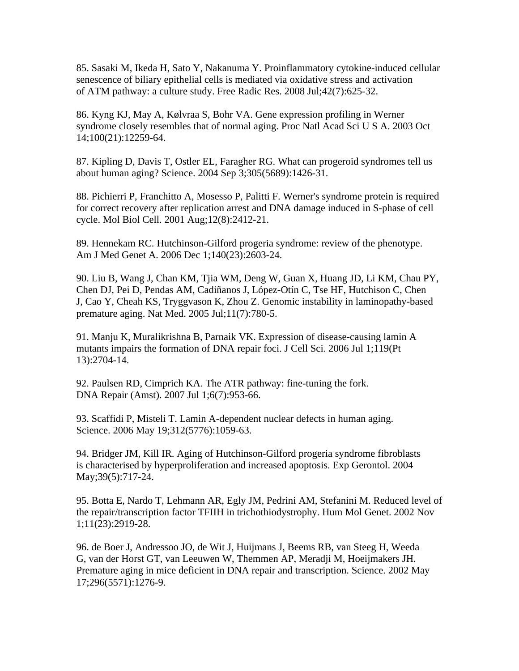85. Sasaki M, Ikeda H, Sato Y, Nakanuma Y. Proinflammatory cytokine-induced cellular senescence of biliary epithelial cells is mediated via oxidative stress and activation of ATM pathway: a culture study. Free Radic Res. 2008 Jul;42(7):625-32.

86. Kyng KJ, May A, Kølvraa S, Bohr VA. Gene expression profiling in Werner syndrome closely resembles that of normal aging. Proc Natl Acad Sci U S A. 2003 Oct 14;100(21):12259-64.

87. Kipling D, Davis T, Ostler EL, Faragher RG. What can progeroid syndromes tell us about human aging? Science. 2004 Sep 3;305(5689):1426-31.

88. Pichierri P, Franchitto A, Mosesso P, Palitti F. Werner's syndrome protein is required for correct recovery after replication arrest and DNA damage induced in S-phase of cell cycle. Mol Biol Cell. 2001 Aug;12(8):2412-21.

89. Hennekam RC. Hutchinson-Gilford progeria syndrome: review of the phenotype. Am J Med Genet A. 2006 Dec 1;140(23):2603-24.

90. Liu B, Wang J, Chan KM, Tjia WM, Deng W, Guan X, Huang JD, Li KM, Chau PY, Chen DJ, Pei D, Pendas AM, Cadiñanos J, López-Otín C, Tse HF, Hutchison C, Chen J, Cao Y, Cheah KS, Tryggvason K, Zhou Z. Genomic instability in laminopathy-based premature aging. Nat Med. 2005 Jul;11(7):780-5.

91. Manju K, Muralikrishna B, Parnaik VK. Expression of disease-causing lamin A mutants impairs the formation of DNA repair foci. J Cell Sci. 2006 Jul 1;119(Pt 13):2704-14.

92. Paulsen RD, Cimprich KA. The ATR pathway: fine-tuning the fork. DNA Repair (Amst). 2007 Jul 1;6(7):953-66.

93. Scaffidi P, Misteli T. Lamin A-dependent nuclear defects in human aging. Science. 2006 May 19;312(5776):1059-63.

94. Bridger JM, Kill IR. Aging of Hutchinson-Gilford progeria syndrome fibroblasts is characterised by hyperproliferation and increased apoptosis. Exp Gerontol. 2004 May; 39(5): 717-24.

95. Botta E, Nardo T, Lehmann AR, Egly JM, Pedrini AM, Stefanini M. Reduced level of the repair/transcription factor TFIIH in trichothiodystrophy. Hum Mol Genet. 2002 Nov 1;11(23):2919-28.

96. de Boer J, Andressoo JO, de Wit J, Huijmans J, Beems RB, van Steeg H, Weeda G, van der Horst GT, van Leeuwen W, Themmen AP, Meradji M, Hoeijmakers JH. Premature aging in mice deficient in DNA repair and transcription. Science. 2002 May 17;296(5571):1276-9.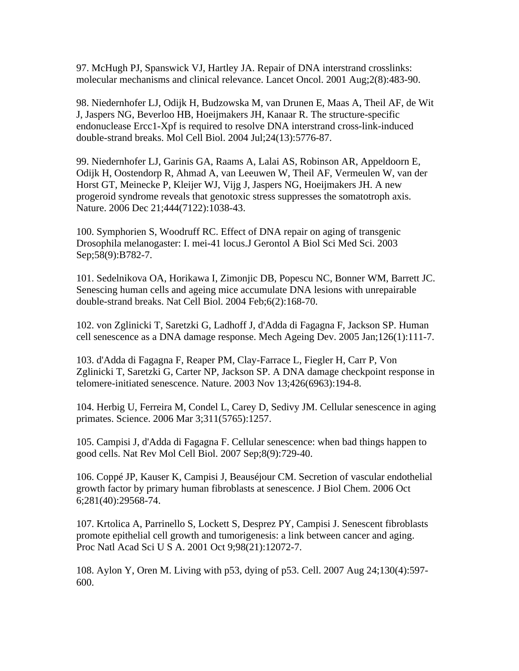97. McHugh PJ, Spanswick VJ, Hartley JA. Repair of DNA interstrand crosslinks: molecular mechanisms and clinical relevance. Lancet Oncol. 2001 Aug;2(8):483-90.

98. Niedernhofer LJ, Odijk H, Budzowska M, van Drunen E, Maas A, Theil AF, de Wit J, Jaspers NG, Beverloo HB, Hoeijmakers JH, Kanaar R. The structure-specific endonuclease Ercc1-Xpf is required to resolve DNA interstrand cross-link-induced double-strand breaks. Mol Cell Biol. 2004 Jul;24(13):5776-87.

99. Niedernhofer LJ, Garinis GA, Raams A, Lalai AS, Robinson AR, Appeldoorn E, Odijk H, Oostendorp R, Ahmad A, van Leeuwen W, Theil AF, Vermeulen W, van der Horst GT, Meinecke P, Kleijer WJ, Vijg J, Jaspers NG, Hoeijmakers JH. A new progeroid syndrome reveals that genotoxic stress suppresses the somatotroph axis. Nature. 2006 Dec 21;444(7122):1038-43.

100. Symphorien S, Woodruff RC. Effect of DNA repair on aging of transgenic Drosophila melanogaster: I. mei-41 locus.J Gerontol A Biol Sci Med Sci. 2003 Sep;58(9):B782-7.

101. Sedelnikova OA, Horikawa I, Zimonjic DB, Popescu NC, Bonner WM, Barrett JC. Senescing human cells and ageing mice accumulate DNA lesions with unrepairable double-strand breaks. Nat Cell Biol. 2004 Feb;6(2):168-70.

102. von Zglinicki T, Saretzki G, Ladhoff J, d'Adda di Fagagna F, Jackson SP. Human cell senescence as a DNA damage response. Mech Ageing Dev. 2005 Jan;126(1):111-7.

103. d'Adda di Fagagna F, Reaper PM, Clay-Farrace L, Fiegler H, Carr P, Von Zglinicki T, Saretzki G, Carter NP, Jackson SP. A DNA damage checkpoint response in telomere-initiated senescence. Nature. 2003 Nov 13;426(6963):194-8.

104. Herbig U, Ferreira M, Condel L, Carey D, Sedivy JM. Cellular senescence in aging primates. Science. 2006 Mar 3;311(5765):1257.

105. Campisi J, d'Adda di Fagagna F. Cellular senescence: when bad things happen to good cells. Nat Rev Mol Cell Biol. 2007 Sep;8(9):729-40.

106. Coppé JP, Kauser K, Campisi J, Beauséjour CM. Secretion of vascular endothelial growth factor by primary human fibroblasts at senescence. J Biol Chem. 2006 Oct 6;281(40):29568-74.

107. Krtolica A, Parrinello S, Lockett S, Desprez PY, Campisi J. Senescent fibroblasts promote epithelial cell growth and tumorigenesis: a link between cancer and aging. Proc Natl Acad Sci U S A. 2001 Oct 9;98(21):12072-7.

108. Aylon Y, Oren M. Living with p53, dying of p53. Cell. 2007 Aug 24;130(4):597- 600.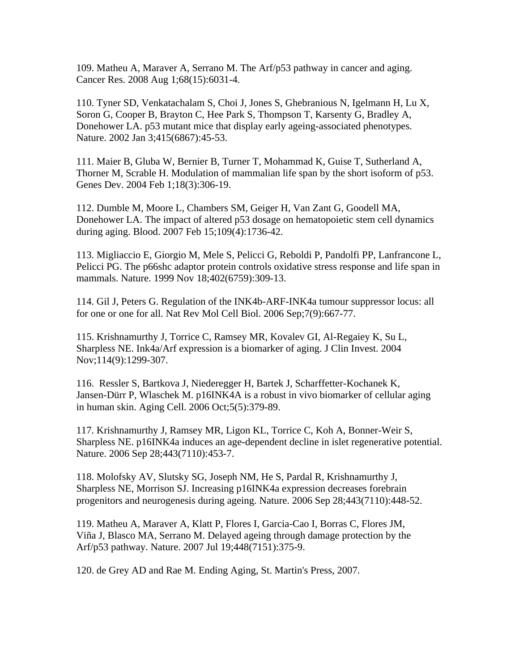109. Matheu A, Maraver A, Serrano M. The Arf/p53 pathway in cancer and aging. Cancer Res. 2008 Aug 1;68(15):6031-4.

110. Tyner SD, Venkatachalam S, Choi J, Jones S, Ghebranious N, Igelmann H, Lu X, Soron G, Cooper B, Brayton C, Hee Park S, Thompson T, Karsenty G, Bradley A, Donehower LA. p53 mutant mice that display early ageing-associated phenotypes. Nature. 2002 Jan 3;415(6867):45-53.

111. Maier B, Gluba W, Bernier B, Turner T, Mohammad K, Guise T, Sutherland A, Thorner M, Scrable H. Modulation of mammalian life span by the short isoform of p53. Genes Dev. 2004 Feb 1;18(3):306-19.

112. Dumble M, Moore L, Chambers SM, Geiger H, Van Zant G, Goodell MA, Donehower LA. The impact of altered p53 dosage on hematopoietic stem cell dynamics during aging. Blood. 2007 Feb 15;109(4):1736-42.

113. Migliaccio E, Giorgio M, Mele S, Pelicci G, Reboldi P, Pandolfi PP, Lanfrancone L, Pelicci PG. The p66shc adaptor protein controls oxidative stress response and life span in mammals. Nature. 1999 Nov 18;402(6759):309-13.

114. Gil J, Peters G. Regulation of the INK4b-ARF-INK4a tumour suppressor locus: all for one or one for all. Nat Rev Mol Cell Biol. 2006 Sep;7(9):667-77.

115. Krishnamurthy J, Torrice C, Ramsey MR, Kovalev GI, Al-Regaiey K, Su L, Sharpless NE. Ink4a/Arf expression is a biomarker of aging. J Clin Invest. 2004 Nov;114(9):1299-307.

116. Ressler S, Bartkova J, Niederegger H, Bartek J, Scharffetter-Kochanek K, Jansen-Dürr P, Wlaschek M. p16INK4A is a robust in vivo biomarker of cellular aging in human skin. Aging Cell. 2006 Oct;5(5):379-89.

117. Krishnamurthy J, Ramsey MR, Ligon KL, Torrice C, Koh A, Bonner-Weir S, Sharpless NE. p16INK4a induces an age-dependent decline in islet regenerative potential. Nature. 2006 Sep 28;443(7110):453-7.

118. Molofsky AV, Slutsky SG, Joseph NM, He S, Pardal R, Krishnamurthy J, Sharpless NE, Morrison SJ. Increasing p16INK4a expression decreases forebrain progenitors and neurogenesis during ageing. Nature. 2006 Sep 28;443(7110):448-52.

119. Matheu A, Maraver A, Klatt P, Flores I, Garcia-Cao I, Borras C, Flores JM, Viña J, Blasco MA, Serrano M. Delayed ageing through damage protection by the Arf/p53 pathway. Nature. 2007 Jul 19;448(7151):375-9.

120. de Grey AD and Rae M. Ending Aging, St. Martin's Press, 2007.